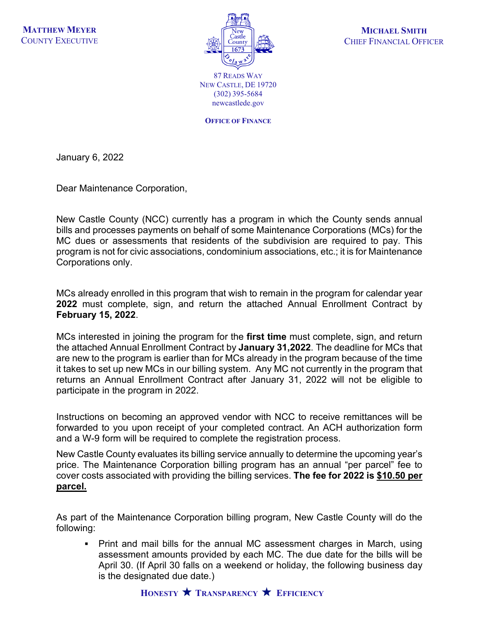

**MICHAEL SMITH** CHIEF FINANCIAL OFFICER

87 READS WAY NEW CASTLE, DE 19720 (302) 395-5684 newcastlede.gov

**OFFICE OF FINANCE**

January 6, 2022

Dear Maintenance Corporation,

New Castle County (NCC) currently has a program in which the County sends annual bills and processes payments on behalf of some Maintenance Corporations (MCs) for the MC dues or assessments that residents of the subdivision are required to pay. This program is not for civic associations, condominium associations, etc.; it is for Maintenance Corporations only.

MCs already enrolled in this program that wish to remain in the program for calendar year **2022** must complete, sign, and return the attached Annual Enrollment Contract by **February 15, 2022**.

MCs interested in joining the program for the **first time** must complete, sign, and return the attached Annual Enrollment Contract by **January 31,2022**. The deadline for MCs that are new to the program is earlier than for MCs already in the program because of the time it takes to set up new MCs in our billing system. Any MC not currently in the program that returns an Annual Enrollment Contract after January 31, 2022 will not be eligible to participate in the program in 2022.

Instructions on becoming an approved vendor with NCC to receive remittances will be forwarded to you upon receipt of your completed contract. An ACH authorization form and a W-9 form will be required to complete the registration process.

New Castle County evaluates its billing service annually to determine the upcoming year's price. The Maintenance Corporation billing program has an annual "per parcel" fee to cover costs associated with providing the billing services. **The fee for 2022 is \$10.50 per parcel.**

As part of the Maintenance Corporation billing program, New Castle County will do the following:

 Print and mail bills for the annual MC assessment charges in March, using assessment amounts provided by each MC. The due date for the bills will be April 30. (If April 30 falls on a weekend or holiday, the following business day is the designated due date.)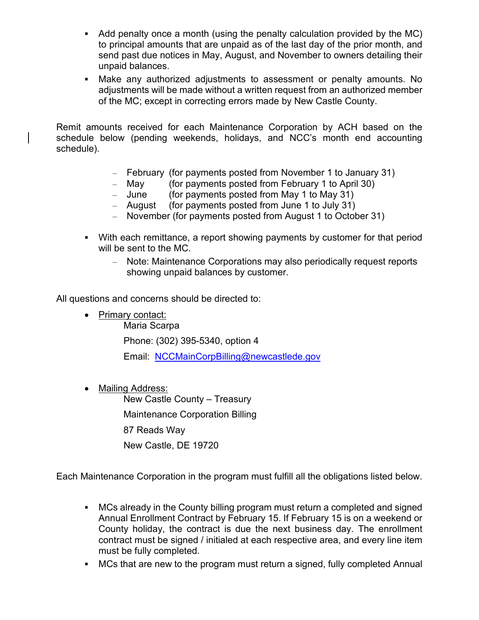- Add penalty once a month (using the penalty calculation provided by the MC) to principal amounts that are unpaid as of the last day of the prior month, and send past due notices in May, August, and November to owners detailing their unpaid balances.
- Make any authorized adjustments to assessment or penalty amounts. No adjustments will be made without a written request from an authorized member of the MC; except in correcting errors made by New Castle County.

Remit amounts received for each Maintenance Corporation by ACH based on the schedule below (pending weekends, holidays, and NCC's month end accounting schedule).

- February (for payments posted from November 1 to January 31)
- May (for payments posted from February 1 to April 30)
- June (for payments posted from May 1 to May 31)
- August (for payments posted from June 1 to July 31)
- November (for payments posted from August 1 to October 31)
- With each remittance, a report showing payments by customer for that period will be sent to the MC.
	- Note: Maintenance Corporations may also periodically request reports showing unpaid balances by customer.

All questions and concerns should be directed to:

- Primary contact:
	- Maria Scarpa

Phone: (302) 395-5340, option 4

Email: [NCCMainCorpBilling@newcastlede.gov](mailto:NCCMainCorpBilling@newcastlede.gov)

• Mailing Address: New Castle County – Treasury Maintenance Corporation Billing 87 Reads Way New Castle, DE 19720

Each Maintenance Corporation in the program must fulfill all the obligations listed below.

- MCs already in the County billing program must return a completed and signed Annual Enrollment Contract by February 15. If February 15 is on a weekend or County holiday, the contract is due the next business day. The enrollment contract must be signed / initialed at each respective area, and every line item must be fully completed.
- MCs that are new to the program must return a signed, fully completed Annual